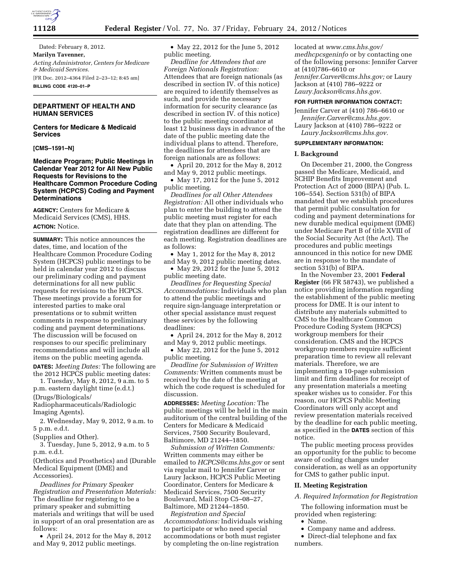

Dated: February 8, 2012. **Marilyn Tavenner,**  *Acting Administrator, Centers for Medicare & Medicaid Services.*  [FR Doc. 2012–4364 Filed 2–23–12; 8:45 am] **BILLING CODE 4120–01–P** 

# **DEPARTMENT OF HEALTH AND HUMAN SERVICES**

## **Centers for Medicare & Medicaid Services**

**[CMS–1591–N]** 

## **Medicare Program; Public Meetings in Calendar Year 2012 for All New Public Requests for Revisions to the Healthcare Common Procedure Coding System (HCPCS) Coding and Payment Determinations**

**AGENCY:** Centers for Medicare & Medicaid Services (CMS), HHS. **ACTION:** Notice.

**SUMMARY:** This notice announces the dates, time, and location of the Healthcare Common Procedure Coding System (HCPCS) public meetings to be held in calendar year 2012 to discuss our preliminary coding and payment determinations for all new public requests for revisions to the HCPCS. These meetings provide a forum for interested parties to make oral presentations or to submit written comments in response to preliminary coding and payment determinations. The discussion will be focused on responses to our specific preliminary recommendations and will include all items on the public meeting agenda. **DATES:** *Meeting Dates:* The following are the 2012 HCPCS public meeting dates:

1. Tuesday, May 8, 2012, 9 a.m. to 5 p.m. eastern daylight time (e.d.t.)

(Drugs/Biologicals/

Radiopharmaceuticals/Radiologic Imaging Agents).

2. Wednesday, May 9, 2012, 9 a.m. to 5 p.m. e.d.t.

(Supplies and Other).

3. Tuesday, June 5, 2012, 9 a.m. to 5 p.m. e.d.t.

(Orthotics and Prosthetics) and (Durable Medical Equipment (DME) and Accessories).

*Deadlines for Primary Speaker Registration and Presentation Materials:*  The deadline for registering to be a primary speaker and submitting materials and writings that will be used in support of an oral presentation are as follows:

• April 24, 2012 for the May 8, 2012 and May 9, 2012 public meetings.

• May 22, 2012 for the June 5, 2012 public meeting.

*Deadline for Attendees that are Foreign Nationals Registration:*  Attendees that are foreign nationals (as described in section IV. of this notice) are required to identify themselves as such, and provide the necessary information for security clearance (as described in section IV. of this notice) to the public meeting coordinator at least 12 business days in advance of the date of the public meeting date the individual plans to attend. Therefore, the deadlines for attendees that are foreign nationals are as follows:

• April 20, 2012 for the May 8, 2012 and May 9, 2012 public meetings.

• May 17, 2012 for the June 5, 2012 public meeting.

*Deadlines for all Other Attendees Registration:* All other individuals who plan to enter the building to attend the public meeting must register for each date that they plan on attending. The registration deadlines are different for each meeting. Registration deadlines are as follows:

• May 1, 2012 for the May 8, 2012 and May 9, 2012 public meeting dates.

• May 29, 2012 for the June 5, 2012 public meeting date.

*Deadlines for Requesting Special Accommodations:* Individuals who plan to attend the public meetings and require sign-language interpretation or other special assistance must request these services by the following deadlines:

• April 24, 2012 for the May 8, 2012 and May 9, 2012 public meetings.

• May 22, 2012 for the June 5, 2012 public meeting.

*Deadline for Submission of Written Comments:* Written comments must be received by the date of the meeting at which the code request is scheduled for discussion.

**ADDRESSES:** *Meeting Location:* The public meetings will be held in the main auditorium of the central building of the Centers for Medicare & Medicaid Services, 7500 Security Boulevard, Baltimore, MD 21244–1850.

*Submission of Written Comments:*  Written comments may either be emailed to *[HCPCS@cms.hhs.gov](mailto:HCPCS@cms.hhs.gov)* or sent via regular mail to Jennifer Carver or Laury Jackson, HCPCS Public Meeting Coordinator, Centers for Medicare & Medicaid Services, 7500 Security Boulevard, Mail Stop C5–08–27, Baltimore, MD 21244–1850.

*Registration and Special Accommodations:* Individuals wishing to participate or who need special accommodations or both must register by completing the on-line registration

located at *[www.cms.hhs.gov/](http://www.cms.hhs.gov/medhcpcsgeninfo)  [medhcpcsgeninfo](http://www.cms.hhs.gov/medhcpcsgeninfo)* or by contacting one of the following persons: Jennifer Carver at (410)786–6610 or *[Jennifer.Carver@cms.hhs.gov;](mailto:Jennifer.Carver@cms.hhs.gov)* or Laury Jackson at (410) 786–9222 or *[Laury.Jackson@cms.hhs.gov.](mailto:Laury.Jackson@cms.hhs.gov)* 

### **FOR FURTHER INFORMATION CONTACT:**

Jennifer Carver at (410) 786–6610 or *[Jennifer.Carver@cms.hhs.gov.](mailto:Jennifer.Carver@cms.hhs.gov)* 

Laury Jackson at (410) 786–9222 or *[Laury.Jackson@cms.hhs.gov.](mailto:Laury.Jackson@cms.hhs.gov)* 

#### **SUPPLEMENTARY INFORMATION:**

#### **I. Background**

On December 21, 2000, the Congress passed the Medicare, Medicaid, and SCHIP Benefits Improvement and Protection Act of 2000 (BIPA) (Pub. L. 106–554). Section 531(b) of BIPA mandated that we establish procedures that permit public consultation for coding and payment determinations for new durable medical equipment (DME) under Medicare Part B of title XVIII of the Social Security Act (the Act). The procedures and public meetings announced in this notice for new DME are in response to the mandate of section 531(b) of BIPA.

In the November 23, 2001 **Federal Register** (66 FR 58743), we published a notice providing information regarding the establishment of the public meeting process for DME. It is our intent to distribute any materials submitted to CMS to the Healthcare Common Procedure Coding System (HCPCS) workgroup members for their consideration. CMS and the HCPCS workgroup members require sufficient preparation time to review all relevant materials. Therefore, we are implementing a 10-page submission limit and firm deadlines for receipt of any presentation materials a meeting speaker wishes us to consider. For this reason, our HCPCS Public Meeting Coordinators will only accept and review presentation materials received by the deadline for each public meeting, as specified in the **DATES** section of this notice.

The public meeting process provides an opportunity for the public to become aware of coding changes under consideration, as well as an opportunity for CMS to gather public input.

#### **II. Meeting Registration**

*A. Required Information for Registration* 

The following information must be provided when registering:

- Name.
- Company name and address.

• Direct-dial telephone and fax numbers.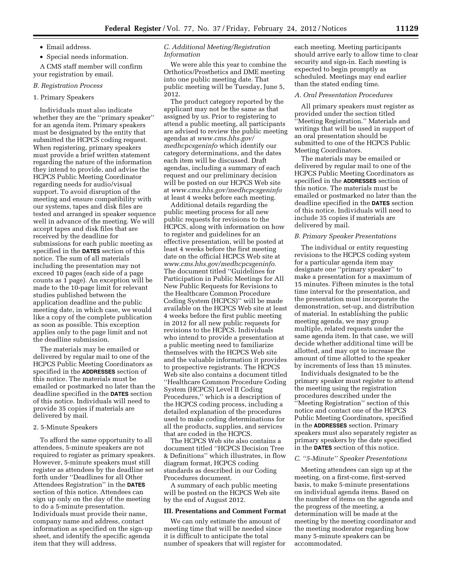• Email address.

• Special needs information.

A CMS staff member will confirm your registration by email.

## *B. Registration Process*

## 1. Primary Speakers

Individuals must also indicate whether they are the ''primary speaker'' for an agenda item. Primary speakers must be designated by the entity that submitted the HCPCS coding request. When registering, primary speakers must provide a brief written statement regarding the nature of the information they intend to provide, and advise the HCPCS Public Meeting Coordinator regarding needs for audio/visual support. To avoid disruption of the meeting and ensure compatibility with our systems, tapes and disk files are tested and arranged in speaker sequence well in advance of the meeting. We will accept tapes and disk files that are received by the deadline for submissions for each public meeting as specified in the **DATES** section of this notice. The sum of all materials including the presentation may not exceed 10 pages (each side of a page counts as 1 page). An exception will be made to the 10-page limit for relevant studies published between the application deadline and the public meeting date, in which case, we would like a copy of the complete publication as soon as possible. This exception applies only to the page limit and not the deadline submission.

The materials may be emailed or delivered by regular mail to one of the HCPCS Public Meeting Coordinators as specified in the **ADDRESSES** section of this notice. The materials must be emailed or postmarked no later than the deadline specified in the **DATES** section of this notice. Individuals will need to provide 35 copies if materials are delivered by mail.

### 2. 5-Minute Speakers

To afford the same opportunity to all attendees, 5-minute speakers are not required to register as primary speakers. However, 5-minute speakers must still register as attendees by the deadline set forth under ''Deadlines for all Other Attendees Registration'' in the **DATES** section of this notice. Attendees can sign up only on the day of the meeting to do a 5-minute presentation. Individuals must provide their name, company name and address, contact information as specified on the sign-up sheet, and identify the specific agenda item that they will address.

## *C. Additional Meeting/Registration Information*

We were able this year to combine the Orthotics/Prosthetics and DME meeting into one public meeting date. That public meeting will be Tuesday, June 5, 2012.

The product category reported by the applicant may not be the same as that assigned by us. Prior to registering to attend a public meeting, all participants are advised to review the public meeting agendas at *[www.cms.hhs.gov/](http://www.cms.hhs.gov/medhcpcsgeninfo)  [medhcpcsgeninfo](http://www.cms.hhs.gov/medhcpcsgeninfo)* which identify our category determinations, and the dates each item will be discussed. Draft agendas, including a summary of each request and our preliminary decision will be posted on our HCPCS Web site at *[www.cms.hhs.gov/medhcpcsgeninfo](http://www.cms.hhs.gov/medhcpcsgeninfo)*  at least 4 weeks before each meeting.

Additional details regarding the public meeting process for all new public requests for revisions to the HCPCS, along with information on how to register and guidelines for an effective presentation, will be posted at least 4 weeks before the first meeting date on the official HCPCS Web site at *[www.cms.hhs.gov/medhcpcsgeninfo.](http://www.cms.hhs.gov/medhcpcsgeninfo)*  The document titled ''Guidelines for Participation in Public Meetings for All New Public Requests for Revisions to the Healthcare Common Procedure Coding System (HCPCS)'' will be made available on the HCPCS Web site at least 4 weeks before the first public meeting in 2012 for all new public requests for revisions to the HCPCS. Individuals who intend to provide a presentation at a public meeting need to familiarize themselves with the HCPCS Web site and the valuable information it provides to prospective registrants. The HCPCS Web site also contains a document titled ''Healthcare Common Procedure Coding System (HCPCS) Level II Coding Procedures,'' which is a description of the HCPCS coding process, including a detailed explanation of the procedures used to make coding determinations for all the products, supplies, and services that are coded in the HCPCS.

The HCPCS Web site also contains a document titled ''HCPCS Decision Tree & Definitions'' which illustrates, in flow diagram format, HCPCS coding standards as described in our Coding Procedures document.

A summary of each public meeting will be posted on the HCPCS Web site by the end of August 2012.

#### **III. Presentations and Comment Format**

We can only estimate the amount of meeting time that will be needed since it is difficult to anticipate the total number of speakers that will register for each meeting. Meeting participants should arrive early to allow time to clear security and sign-in. Each meeting is expected to begin promptly as scheduled. Meetings may end earlier than the stated ending time.

#### *A. Oral Presentation Procedures*

All primary speakers must register as provided under the section titled ''Meeting Registration.'' Materials and writings that will be used in support of an oral presentation should be submitted to one of the HCPCS Public Meeting Coordinators.

The materials may be emailed or delivered by regular mail to one of the HCPCS Public Meeting Coordinators as specified in the **ADDRESSES** section of this notice. The materials must be emailed or postmarked no later than the deadline specified in the **DATES** section of this notice. Individuals will need to include 35 copies if materials are delivered by mail.

#### *B. Primary Speaker Presentations*

The individual or entity requesting revisions to the HCPCS coding system for a particular agenda item may designate one ''primary speaker'' to make a presentation for a maximum of 15 minutes. Fifteen minutes is the total time interval for the presentation, and the presentation must incorporate the demonstration, set-up, and distribution of material. In establishing the public meeting agenda, we may group multiple, related requests under the same agenda item. In that case, we will decide whether additional time will be allotted, and may opt to increase the amount of time allotted to the speaker by increments of less than 15 minutes.

Individuals designated to be the primary speaker must register to attend the meeting using the registration procedures described under the ''Meeting Registration'' section of this notice and contact one of the HCPCS Public Meeting Coordinators, specified in the **ADDRESSES** section. Primary speakers must also separately register as primary speakers by the date specified in the **DATES** section of this notice.

### *C. ''5-Minute'' Speaker Presentations*

Meeting attendees can sign up at the meeting, on a first-come, first-served basis, to make 5-minute presentations on individual agenda items. Based on the number of items on the agenda and the progress of the meeting, a determination will be made at the meeting by the meeting coordinator and the meeting moderator regarding how many 5-minute speakers can be accommodated.